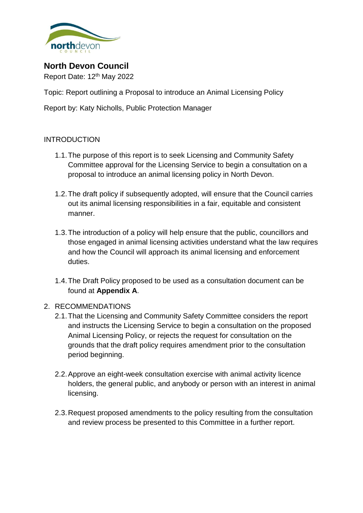

**North Devon Council**

Report Date: 12<sup>th</sup> May 2022

Topic: Report outlining a Proposal to introduce an Animal Licensing Policy

Report by: Katy Nicholls, Public Protection Manager

# INTRODUCTION

- 1.1.The purpose of this report is to seek Licensing and Community Safety Committee approval for the Licensing Service to begin a consultation on a proposal to introduce an animal licensing policy in North Devon.
- 1.2.The draft policy if subsequently adopted, will ensure that the Council carries out its animal licensing responsibilities in a fair, equitable and consistent manner.
- 1.3.The introduction of a policy will help ensure that the public, councillors and those engaged in animal licensing activities understand what the law requires and how the Council will approach its animal licensing and enforcement duties.
- 1.4.The Draft Policy proposed to be used as a consultation document can be found at **Appendix A**.

## 2. RECOMMENDATIONS

- 2.1.That the Licensing and Community Safety Committee considers the report and instructs the Licensing Service to begin a consultation on the proposed Animal Licensing Policy, or rejects the request for consultation on the grounds that the draft policy requires amendment prior to the consultation period beginning.
- 2.2.Approve an eight-week consultation exercise with animal activity licence holders, the general public, and anybody or person with an interest in animal licensing.
- 2.3.Request proposed amendments to the policy resulting from the consultation and review process be presented to this Committee in a further report.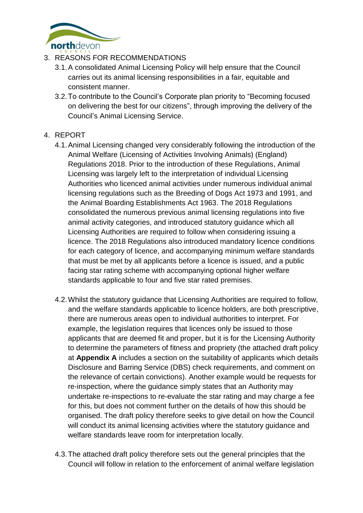

# 3. REASONS FOR RECOMMENDATIONS

- 3.1.A consolidated Animal Licensing Policy will help ensure that the Council carries out its animal licensing responsibilities in a fair, equitable and consistent manner.
- 3.2.To contribute to the Council's Corporate plan priority to "Becoming focused on delivering the best for our citizens", through improving the delivery of the Council's Animal Licensing Service.

# 4. REPORT

- 4.1.Animal Licensing changed very considerably following the introduction of the Animal Welfare (Licensing of Activities Involving Animals) (England) Regulations 2018. Prior to the introduction of these Regulations, Animal Licensing was largely left to the interpretation of individual Licensing Authorities who licenced animal activities under numerous individual animal licensing regulations such as the Breeding of Dogs Act 1973 and 1991, and the Animal Boarding Establishments Act 1963. The 2018 Regulations consolidated the numerous previous animal licensing regulations into five animal activity categories, and introduced statutory guidance which all Licensing Authorities are required to follow when considering issuing a licence. The 2018 Regulations also introduced mandatory licence conditions for each category of licence, and accompanying minimum welfare standards that must be met by all applicants before a licence is issued, and a public facing star rating scheme with accompanying optional higher welfare standards applicable to four and five star rated premises.
- 4.2.Whilst the statutory guidance that Licensing Authorities are required to follow, and the welfare standards applicable to licence holders, are both prescriptive, there are numerous areas open to individual authorities to interpret. For example, the legislation requires that licences only be issued to those applicants that are deemed fit and proper, but it is for the Licensing Authority to determine the parameters of fitness and propriety (the attached draft policy at **Appendix A** includes a section on the suitability of applicants which details Disclosure and Barring Service (DBS) check requirements, and comment on the relevance of certain convictions). Another example would be requests for re-inspection, where the guidance simply states that an Authority may undertake re-inspections to re-evaluate the star rating and may charge a fee for this, but does not comment further on the details of how this should be organised. The draft policy therefore seeks to give detail on how the Council will conduct its animal licensing activities where the statutory guidance and welfare standards leave room for interpretation locally.
- 4.3.The attached draft policy therefore sets out the general principles that the Council will follow in relation to the enforcement of animal welfare legislation